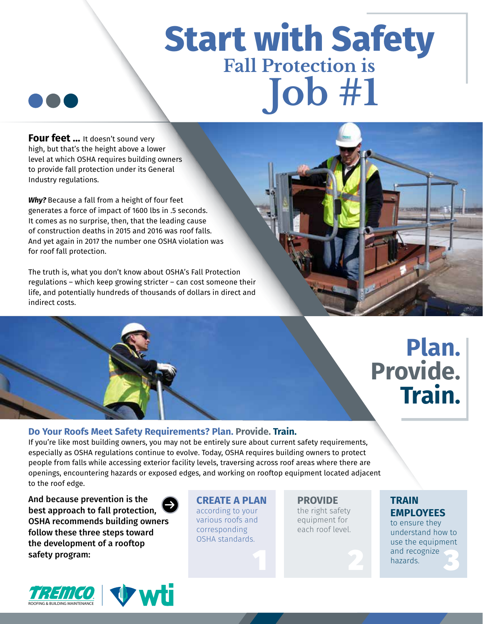# **Start with Safety Fall Protection is Job #1**



**Four feet ...** It doesn't sound very high, but that's the height above a lower level at which OSHA requires building owners to provide fall protection under its General Industry regulations.

*Why?* Because a fall from a height of four feet generates a force of impact of 1600 lbs in .5 seconds. It comes as no surprise, then, that the leading cause of construction deaths in 2015 and 2016 was roof falls. And yet again in 2017 the number one OSHA violation was for roof fall protection.

The truth is, what you don't know about OSHA's Fall Protection regulations – which keep growing stricter – can cost someone their life, and potentially hundreds of thousands of dollars in direct and indirect costs.

### **Plan. Provide. Train.**

#### **Do Your Roofs Meet Safety Requirements? Plan. Provide. Train.**

If you're like most building owners, you may not be entirely sure about current safety requirements, especially as OSHA regulations continue to evolve. Today, OSHA requires building owners to protect people from falls while accessing exterior facility levels, traversing across roof areas where there are openings, encountering hazards or exposed edges, and working on rooftop equipment located adjacent to the roof edge.

And because prevention is the best approach to fall protection, OSHA recommends building owners follow these three steps toward the development of a rooftop safety program:



**CREATE A PLAN**  according to your various roofs and corresponding OSHA standards.

**PROVIDE**  the right safety equipment for each roof level.

**TRAIN EMPLOYEES** 

to ensure they understand how to use the equipment and recognize 1 2 hazards.